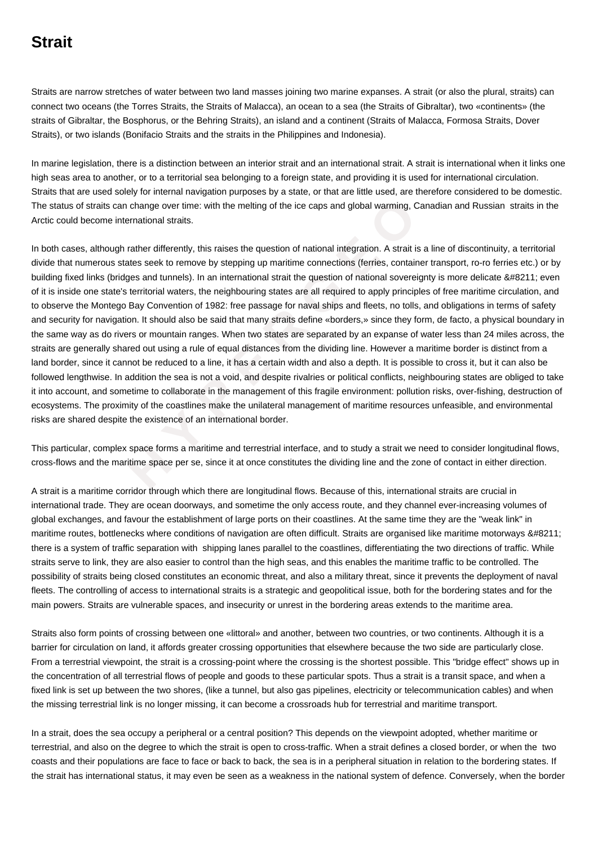## **Strait**

Straits are narrow stretches of water between two land masses joining two marine expanses. A strait (or also the plural, straits) can connect two oceans (the Torres Straits, the Straits of Malacca), an ocean to a sea (the Straits of Gibraltar), two «continents» (the straits of Gibraltar, the Bosphorus, or the Behring Straits), an island and a continent (Straits of Malacca, Formosa Straits, Dover Straits), or two islands (Bonifacio Straits and the straits in the Philippines and Indonesia).

In marine legislation, there is a distinction between an interior strait and an international strait. A strait is international when it links one high seas area to another, or to a territorial sea belonging to a foreign state, and providing it is used for international circulation. Straits that are used solely for internal navigation purposes by a state, or that are little used, are therefore considered to be domestic. The status of straits can change over time: with the melting of the ice caps and global warming, Canadian and Russian straits in the Arctic could become international straits.

itis can change over time: with the melting of the ice caps and global warming, Cange international stratis.<br> **A** hough rather differently, this raises the question of national integration. A strait is a lous states seek t In both cases, although rather differently, this raises the question of national integration. A strait is a line of discontinuity, a territorial divide that numerous states seek to remove by stepping up maritime connections (ferries, container transport, ro-ro ferries etc.) or by building fixed links (bridges and tunnels). In an international strait the question of national sovereignty is more delicate – even of it is inside one state's territorial waters, the neighbouring states are all required to apply principles of free maritime circulation, and to observe the Montego Bay Convention of 1982: free passage for naval ships and fleets, no tolls, and obligations in terms of safety and security for navigation. It should also be said that many straits define «borders,» since they form, de facto, a physical boundary in the same way as do rivers or mountain ranges. When two states are separated by an expanse of water less than 24 miles across, the straits are generally shared out using a rule of equal distances from the dividing line. However a maritime border is distinct from a land border, since it cannot be reduced to a line, it has a certain width and also a depth. It is possible to cross it, but it can also be followed lengthwise. In addition the sea is not a void, and despite rivalries or political conflicts, neighbouring states are obliged to take it into account, and sometime to collaborate in the management of this fragile environment: pollution risks, over-fishing, destruction of ecosystems. The proximity of the coastlines make the unilateral management of maritime resources unfeasible, and environmental risks are shared despite the existence of an international border.

This particular, complex space forms a maritime and terrestrial interface, and to study a strait we need to consider longitudinal flows, cross-flows and the maritime space per se, since it at once constitutes the dividing line and the zone of contact in either direction.

A strait is a maritime corridor through which there are longitudinal flows. Because of this, international straits are crucial in international trade. They are ocean doorways, and sometime the only access route, and they channel ever-increasing volumes of global exchanges, and favour the establishment of large ports on their coastlines. At the same time they are the "weak link" in maritime routes, bottlenecks where conditions of navigation are often difficult. Straits are organised like maritime motorways – there is a system of traffic separation with shipping lanes parallel to the coastlines, differentiating the two directions of traffic. While straits serve to link, they are also easier to control than the high seas, and this enables the maritime traffic to be controlled. The possibility of straits being closed constitutes an economic threat, and also a military threat, since it prevents the deployment of naval fleets. The controlling of access to international straits is a strategic and geopolitical issue, both for the bordering states and for the main powers. Straits are vulnerable spaces, and insecurity or unrest in the bordering areas extends to the maritime area.

Straits also form points of crossing between one «littoral» and another, between two countries, or two continents. Although it is a barrier for circulation on land, it affords greater crossing opportunities that elsewhere because the two side are particularly close. From a terrestrial viewpoint, the strait is a crossing-point where the crossing is the shortest possible. This "bridge effect" shows up in the concentration of all terrestrial flows of people and goods to these particular spots. Thus a strait is a transit space, and when a fixed link is set up between the two shores, (like a tunnel, but also gas pipelines, electricity or telecommunication cables) and when the missing terrestrial link is no longer missing, it can become a crossroads hub for terrestrial and maritime transport.

In a strait, does the sea occupy a peripheral or a central position? This depends on the viewpoint adopted, whether maritime or terrestrial, and also on the degree to which the strait is open to cross-traffic. When a strait defines a closed border, or when the two coasts and their populations are face to face or back to back, the sea is in a peripheral situation in relation to the bordering states. If the strait has international status, it may even be seen as a weakness in the national system of defence. Conversely, when the border